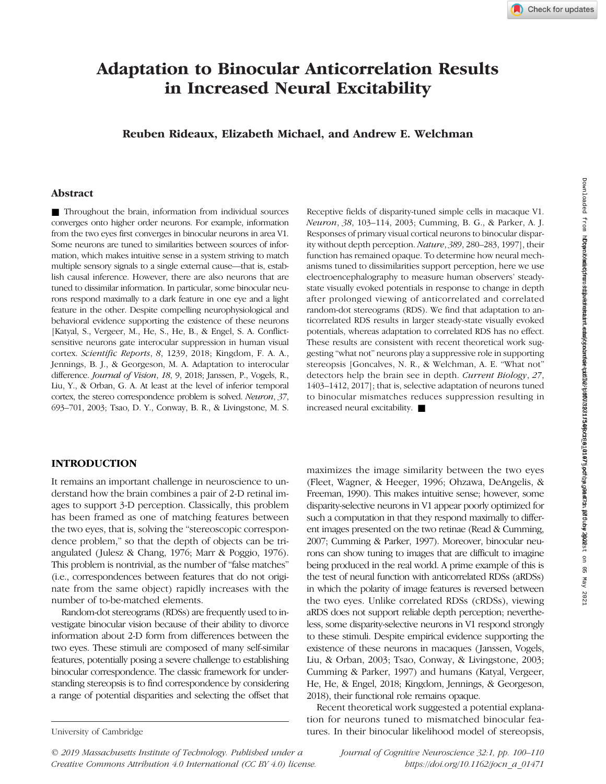# Adaptation to Binocular Anticorrelation Results in Increased Neural Excitability

Reuben Rideaux, Elizabeth Michael, and Andrew E. Welchman

# Downloaded from http://mitprc.silverchair.com/jocn/article-pdf/32/1/100/1861419/jocn\_a\_01471.pdf by guest on 05 May 2021 Downloaded from http://direct.mit.edu/jocn/article-pdf/32/1/100/1931154/jocn\_a\_01471.pdf by guest on 27 June 2022

## Abstract

■ Throughout the brain, information from individual sources converges onto higher order neurons. For example, information from the two eyes first converges in binocular neurons in area V1. Some neurons are tuned to similarities between sources of information, which makes intuitive sense in a system striving to match multiple sensory signals to a single external cause—that is, establish causal inference. However, there are also neurons that are tuned to dissimilar information. In particular, some binocular neurons respond maximally to a dark feature in one eye and a light feature in the other. Despite compelling neurophysiological and behavioral evidence supporting the existence of these neurons [Katyal, S., Vergeer, M., He, S., He, B., & Engel, S. A. Conflictsensitive neurons gate interocular suppression in human visual cortex. Scientific Reports, 8, 1239, 2018; Kingdom, F. A. A., Jennings, B. J., & Georgeson, M. A. Adaptation to interocular difference. Journal of Vision, 18, 9, 2018; Janssen, P., Vogels, R., Liu, Y., & Orban, G. A. At least at the level of inferior temporal cortex, the stereo correspondence problem is solved. Neuron, 37, 693–701, 2003; Tsao, D. Y., Conway, B. R., & Livingstone, M. S.

# INTRODUCTION

It remains an important challenge in neuroscience to understand how the brain combines a pair of 2-D retinal images to support 3-D perception. Classically, this problem has been framed as one of matching features between the two eyes, that is, solving the "stereoscopic correspondence problem," so that the depth of objects can be triangulated (Julesz & Chang, 1976; Marr & Poggio, 1976). This problem is nontrivial, as the number of "false matches" (i.e., correspondences between features that do not originate from the same object) rapidly increases with the number of to-be-matched elements.

Random-dot stereograms (RDSs) are frequently used to investigate binocular vision because of their ability to divorce information about 2-D form from differences between the two eyes. These stimuli are composed of many self-similar features, potentially posing a severe challenge to establishing binocular correspondence. The classic framework for understanding stereopsis is to find correspondence by considering a range of potential disparities and selecting the offset that

Neuron, 38, 103–114, 2003; Cumming, B. G., & Parker, A. J. Responses of primary visual cortical neurons to binocular disparity without depth perception. Nature, 389, 280-283, 1997], their function has remained opaque. To determine how neural mechanisms tuned to dissimilarities support perception, here we use electroencephalography to measure human observers' steadystate visually evoked potentials in response to change in depth after prolonged viewing of anticorrelated and correlated random-dot stereograms (RDS). We find that adaptation to anticorrelated RDS results in larger steady-state visually evoked potentials, whereas adaptation to correlated RDS has no effect. These results are consistent with recent theoretical work suggesting "what not" neurons play a suppressive role in supporting stereopsis [Goncalves, N. R., & Welchman, A. E. "What not" detectors help the brain see in depth. Current Biology, 27, 1403–1412, 2017]; that is, selective adaptation of neurons tuned to binocular mismatches reduces suppression resulting in increased neural excitability. ■

Receptive fields of disparity-tuned simple cells in macaque V1.

maximizes the image similarity between the two eyes (Fleet, Wagner, & Heeger, 1996; Ohzawa, DeAngelis, & Freeman, 1990). This makes intuitive sense; however, some disparity-selective neurons in V1 appear poorly optimized for such a computation in that they respond maximally to different images presented on the two retinae (Read & Cumming, 2007; Cumming & Parker, 1997). Moreover, binocular neurons can show tuning to images that are difficult to imagine being produced in the real world. A prime example of this is the test of neural function with anticorrelated RDSs (aRDSs) in which the polarity of image features is reversed between the two eyes. Unlike correlated RDSs (cRDSs), viewing aRDS does not support reliable depth perception; nevertheless, some disparity-selective neurons in V1 respond strongly to these stimuli. Despite empirical evidence supporting the existence of these neurons in macaques ( Janssen, Vogels, Liu, & Orban, 2003; Tsao, Conway, & Livingstone, 2003; Cumming & Parker, 1997) and humans (Katyal, Vergeer, He, He, & Engel, 2018; Kingdom, Jennings, & Georgeson, 2018), their functional role remains opaque.

Recent theoretical work suggested a potential explanation for neurons tuned to mismatched binocular fea-University of Cambridge tures. In their binocular likelihood model of stereopsis,

© 2019 Massachusetts Institute of Technology. Published under a Creative Commons Attribution 4.0 International (CC BY 4.0) license. Journal of Cognitive Neuroscience 32:1, pp. 100–110 https://doi.org/10.1162/jocn\_a\_01471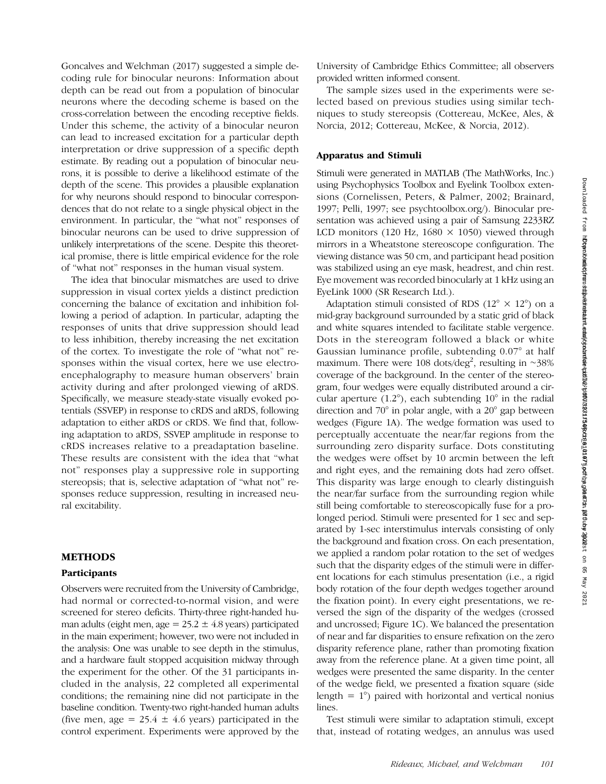Goncalves and Welchman (2017) suggested a simple decoding rule for binocular neurons: Information about depth can be read out from a population of binocular neurons where the decoding scheme is based on the cross-correlation between the encoding receptive fields. Under this scheme, the activity of a binocular neuron can lead to increased excitation for a particular depth interpretation or drive suppression of a specific depth estimate. By reading out a population of binocular neurons, it is possible to derive a likelihood estimate of the depth of the scene. This provides a plausible explanation for why neurons should respond to binocular correspondences that do not relate to a single physical object in the environment. In particular, the "what not" responses of binocular neurons can be used to drive suppression of unlikely interpretations of the scene. Despite this theoretical promise, there is little empirical evidence for the role of "what not" responses in the human visual system.

The idea that binocular mismatches are used to drive suppression in visual cortex yields a distinct prediction concerning the balance of excitation and inhibition following a period of adaption. In particular, adapting the responses of units that drive suppression should lead to less inhibition, thereby increasing the net excitation of the cortex. To investigate the role of "what not" responses within the visual cortex, here we use electroencephalography to measure human observers' brain activity during and after prolonged viewing of aRDS. Specifically, we measure steady-state visually evoked potentials (SSVEP) in response to cRDS and aRDS, following adaptation to either aRDS or cRDS. We find that, following adaptation to aRDS, SSVEP amplitude in response to cRDS increases relative to a preadaptation baseline. These results are consistent with the idea that "what not" responses play a suppressive role in supporting stereopsis; that is, selective adaptation of "what not" responses reduce suppression, resulting in increased neural excitability.

# METHODS

# **Participants**

Observers were recruited from the University of Cambridge, had normal or corrected-to-normal vision, and were screened for stereo deficits. Thirty-three right-handed human adults (eight men, age  $= 25.2 \pm 4.8$  years) participated in the main experiment; however, two were not included in the analysis: One was unable to see depth in the stimulus, and a hardware fault stopped acquisition midway through the experiment for the other. Of the 31 participants included in the analysis, 22 completed all experimental conditions; the remaining nine did not participate in the baseline condition. Twenty-two right-handed human adults (five men, age =  $25.4 \pm 4.6$  years) participated in the control experiment. Experiments were approved by the

University of Cambridge Ethics Committee; all observers provided written informed consent.

The sample sizes used in the experiments were selected based on previous studies using similar techniques to study stereopsis (Cottereau, McKee, Ales, & Norcia, 2012; Cottereau, McKee, & Norcia, 2012).

### Apparatus and Stimuli

Stimuli were generated in MATLAB (The MathWorks, Inc.) using Psychophysics Toolbox and Eyelink Toolbox extensions (Cornelissen, Peters, & Palmer, 2002; Brainard, 1997; Pelli, 1997; see psychtoolbox.org/). Binocular presentation was achieved using a pair of Samsung 2233RZ LCD monitors (120 Hz,  $1680 \times 1050$ ) viewed through mirrors in a Wheatstone stereoscope configuration. The viewing distance was 50 cm, and participant head position was stabilized using an eye mask, headrest, and chin rest. Eye movement was recorded binocularly at 1 kHz using an EyeLink 1000 (SR Research Ltd.).

Adaptation stimuli consisted of RDS ( $12^{\circ} \times 12^{\circ}$ ) on a mid-gray background surrounded by a static grid of black and white squares intended to facilitate stable vergence. Dots in the stereogram followed a black or white Gaussian luminance profile, subtending 0.07° at half maximum. There were 108 dots/deg<sup>2</sup>, resulting in ∼38% coverage of the background. In the center of the stereogram, four wedges were equally distributed around a circular aperture  $(1.2^{\circ})$ , each subtending  $10^{\circ}$  in the radial direction and 70° in polar angle, with a 20° gap between wedges (Figure 1A). The wedge formation was used to perceptually accentuate the near/far regions from the surrounding zero disparity surface. Dots constituting the wedges were offset by 10 arcmin between the left and right eyes, and the remaining dots had zero offset. This disparity was large enough to clearly distinguish the near/far surface from the surrounding region while still being comfortable to stereoscopically fuse for a prolonged period. Stimuli were presented for 1 sec and separated by 1-sec interstimulus intervals consisting of only the background and fixation cross. On each presentation, we applied a random polar rotation to the set of wedges such that the disparity edges of the stimuli were in different locations for each stimulus presentation (i.e., a rigid body rotation of the four depth wedges together around the fixation point). In every eight presentations, we reversed the sign of the disparity of the wedges (crossed and uncrossed; Figure 1C). We balanced the presentation of near and far disparities to ensure refixation on the zero disparity reference plane, rather than promoting fixation away from the reference plane. At a given time point, all wedges were presented the same disparity. In the center of the wedge field, we presented a fixation square (side length  $= 1^{\circ}$ ) paired with horizontal and vertical nonius lines.

Test stimuli were similar to adaptation stimuli, except that, instead of rotating wedges, an annulus was used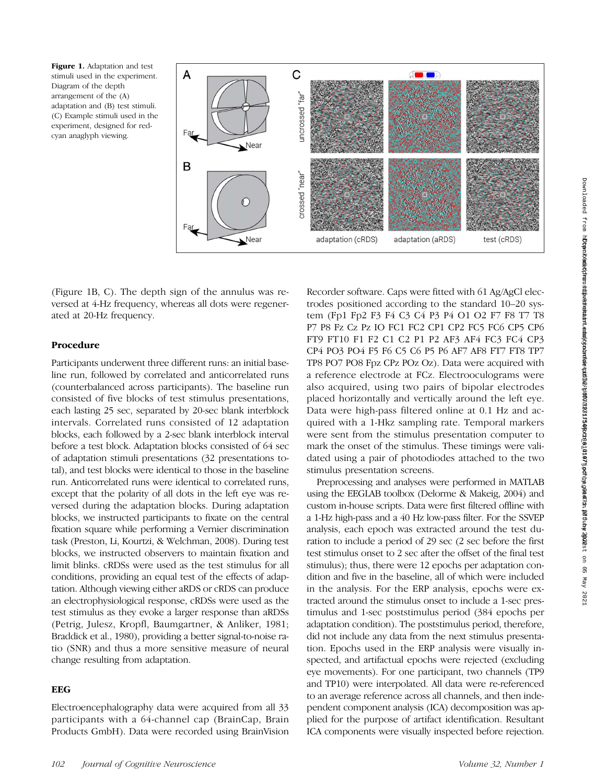Figure 1. Adaptation and test stimuli used in the experiment. Diagram of the depth arrangement of the (A) adaptation and (B) test stimuli. (C) Example stimuli used in the experiment, designed for redcyan anaglyph viewing.



(Figure 1B, C). The depth sign of the annulus was reversed at 4-Hz frequency, whereas all dots were regenerated at 20-Hz frequency.

### Procedure

Participants underwent three different runs: an initial baseline run, followed by correlated and anticorrelated runs (counterbalanced across participants). The baseline run consisted of five blocks of test stimulus presentations, each lasting 25 sec, separated by 20-sec blank interblock intervals. Correlated runs consisted of 12 adaptation blocks, each followed by a 2-sec blank interblock interval before a test block. Adaptation blocks consisted of 64 sec of adaptation stimuli presentations (32 presentations total), and test blocks were identical to those in the baseline run. Anticorrelated runs were identical to correlated runs, except that the polarity of all dots in the left eye was reversed during the adaptation blocks. During adaptation blocks, we instructed participants to fixate on the central fixation square while performing a Vernier discrimination task (Preston, Li, Kourtzi, & Welchman, 2008). During test blocks, we instructed observers to maintain fixation and limit blinks. cRDSs were used as the test stimulus for all conditions, providing an equal test of the effects of adaptation. Although viewing either aRDS or cRDS can produce an electrophysiological response, cRDSs were used as the test stimulus as they evoke a larger response than aRDSs (Petrig, Julesz, Kropfl, Baumgartner, & Anliker, 1981; Braddick et al., 1980), providing a better signal-to-noise ratio (SNR) and thus a more sensitive measure of neural change resulting from adaptation.

## **EEG**

Electroencephalography data were acquired from all 33 participants with a 64-channel cap (BrainCap, Brain Products GmbH). Data were recorded using BrainVision

Recorder software. Caps were fitted with 61 Ag/AgCl electrodes positioned according to the standard 10–20 system (Fp1 Fp2 F3 F4 C3 C4 P3 P4 O1 O2 F7 F8 T7 T8 P7 P8 Fz Cz Pz IO FC1 FC2 CP1 CP2 FC5 FC6 CP5 CP6 FT9 FT10 F1 F2 C1 C2 P1 P2 AF3 AF4 FC3 FC4 CP3 CP4 PO3 PO4 F5 F6 C5 C6 P5 P6 AF7 AF8 FT7 FT8 TP7 TP8 PO7 PO8 Fpz CPz POz Oz). Data were acquired with a reference electrode at FCz. Electrooculograms were also acquired, using two pairs of bipolar electrodes placed horizontally and vertically around the left eye. Data were high-pass filtered online at 0.1 Hz and acquired with a 1-Hkz sampling rate. Temporal markers were sent from the stimulus presentation computer to mark the onset of the stimulus. These timings were validated using a pair of photodiodes attached to the two stimulus presentation screens.

Preprocessing and analyses were performed in MATLAB using the EEGLAB toolbox (Delorme & Makeig, 2004) and custom in-house scripts. Data were first filtered offline with a 1-Hz high-pass and a 40 Hz low-pass filter. For the SSVEP analysis, each epoch was extracted around the test duration to include a period of 29 sec (2 sec before the first test stimulus onset to 2 sec after the offset of the final test stimulus); thus, there were 12 epochs per adaptation condition and five in the baseline, all of which were included in the analysis. For the ERP analysis, epochs were extracted around the stimulus onset to include a 1-sec prestimulus and 1-sec poststimulus period (384 epochs per adaptation condition). The poststimulus period, therefore, did not include any data from the next stimulus presentation. Epochs used in the ERP analysis were visually inspected, and artifactual epochs were rejected (excluding eye movements). For one participant, two channels (TP9 and TP10) were interpolated. All data were re-referenced to an average reference across all channels, and then independent component analysis (ICA) decomposition was applied for the purpose of artifact identification. Resultant ICA components were visually inspected before rejection.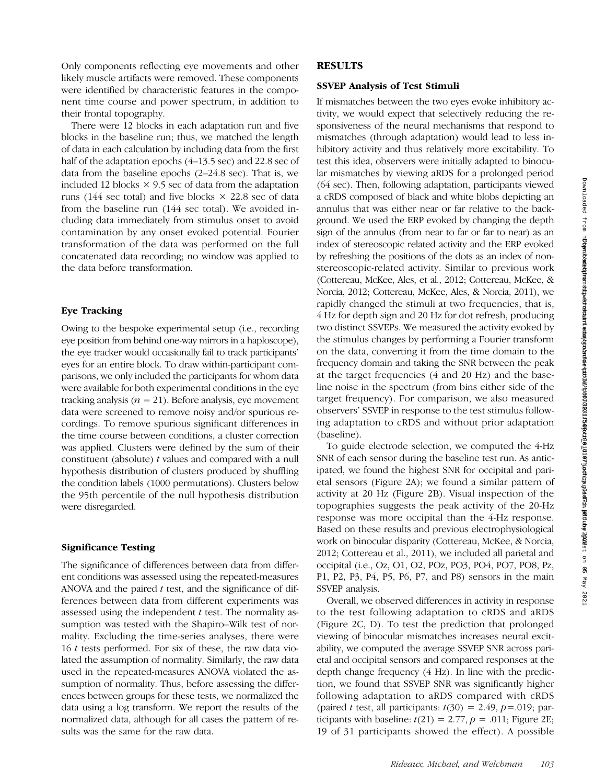Only components reflecting eye movements and other likely muscle artifacts were removed. These components were identified by characteristic features in the component time course and power spectrum, in addition to their frontal topography.

There were 12 blocks in each adaptation run and five blocks in the baseline run; thus, we matched the length of data in each calculation by including data from the first half of the adaptation epochs  $(4-13.5 \text{ sec})$  and 22.8 sec of data from the baseline epochs (2–24.8 sec). That is, we included 12 blocks  $\times$  9.5 sec of data from the adaptation runs (144 sec total) and five blocks  $\times$  22.8 sec of data from the baseline run (144 sec total). We avoided including data immediately from stimulus onset to avoid contamination by any onset evoked potential. Fourier transformation of the data was performed on the full concatenated data recording; no window was applied to the data before transformation.

## Eye Tracking

Owing to the bespoke experimental setup (i.e., recording eye position from behind one-way mirrors in a haploscope), the eye tracker would occasionally fail to track participants' eyes for an entire block. To draw within-participant comparisons, we only included the participants for whom data were available for both experimental conditions in the eye tracking analysis ( $n = 21$ ). Before analysis, eye movement data were screened to remove noisy and/or spurious recordings. To remove spurious significant differences in the time course between conditions, a cluster correction was applied. Clusters were defined by the sum of their constituent (absolute) t values and compared with a null hypothesis distribution of clusters produced by shuffling the condition labels (1000 permutations). Clusters below the 95th percentile of the null hypothesis distribution were disregarded.

### Significance Testing

The significance of differences between data from different conditions was assessed using the repeated-measures ANOVA and the paired  $t$  test, and the significance of differences between data from different experiments was assessed using the independent  $t$  test. The normality assumption was tested with the Shapiro–Wilk test of normality. Excluding the time-series analyses, there were 16  $t$  tests performed. For six of these, the raw data violated the assumption of normality. Similarly, the raw data used in the repeated-measures ANOVA violated the assumption of normality. Thus, before assessing the differences between groups for these tests, we normalized the data using a log transform. We report the results of the normalized data, although for all cases the pattern of results was the same for the raw data.

# **RESULTS**

### SSVEP Analysis of Test Stimuli

If mismatches between the two eyes evoke inhibitory activity, we would expect that selectively reducing the responsiveness of the neural mechanisms that respond to mismatches (through adaptation) would lead to less inhibitory activity and thus relatively more excitability. To test this idea, observers were initially adapted to binocular mismatches by viewing aRDS for a prolonged period (64 sec). Then, following adaptation, participants viewed a cRDS composed of black and white blobs depicting an annulus that was either near or far relative to the background. We used the ERP evoked by changing the depth sign of the annulus (from near to far or far to near) as an index of stereoscopic related activity and the ERP evoked by refreshing the positions of the dots as an index of nonstereoscopic-related activity. Similar to previous work (Cottereau, McKee, Ales, et al., 2012; Cottereau, McKee, & Norcia, 2012; Cottereau, McKee, Ales, & Norcia, 2011), we rapidly changed the stimuli at two frequencies, that is, 4 Hz for depth sign and 20 Hz for dot refresh, producing two distinct SSVEPs. We measured the activity evoked by the stimulus changes by performing a Fourier transform on the data, converting it from the time domain to the frequency domain and taking the SNR between the peak at the target frequencies (4 and 20 Hz) and the baseline noise in the spectrum (from bins either side of the target frequency). For comparison, we also measured observers' SSVEP in response to the test stimulus following adaptation to cRDS and without prior adaptation (baseline).

To guide electrode selection, we computed the 4-Hz SNR of each sensor during the baseline test run. As anticipated, we found the highest SNR for occipital and parietal sensors (Figure 2A); we found a similar pattern of activity at 20 Hz (Figure 2B). Visual inspection of the topographies suggests the peak activity of the 20-Hz response was more occipital than the 4-Hz response. Based on these results and previous electrophysiological work on binocular disparity (Cottereau, McKee, & Norcia, 2012; Cottereau et al., 2011), we included all parietal and occipital (i.e., Oz, O1, O2, POz, PO3, PO4, PO7, PO8, Pz, P1, P2, P3, P4, P5, P6, P7, and P8) sensors in the main SSVEP analysis.

Overall, we observed differences in activity in response to the test following adaptation to cRDS and aRDS (Figure 2C, D). To test the prediction that prolonged viewing of binocular mismatches increases neural excitability, we computed the average SSVEP SNR across parietal and occipital sensors and compared responses at the depth change frequency (4 Hz). In line with the prediction, we found that SSVEP SNR was significantly higher following adaptation to aRDS compared with cRDS (paired t test, all participants:  $t(30) = 2.49$ ,  $p = .019$ ; participants with baseline:  $t(21) = 2.77$ ,  $p = .011$ ; Figure 2E; 19 of 31 participants showed the effect). A possible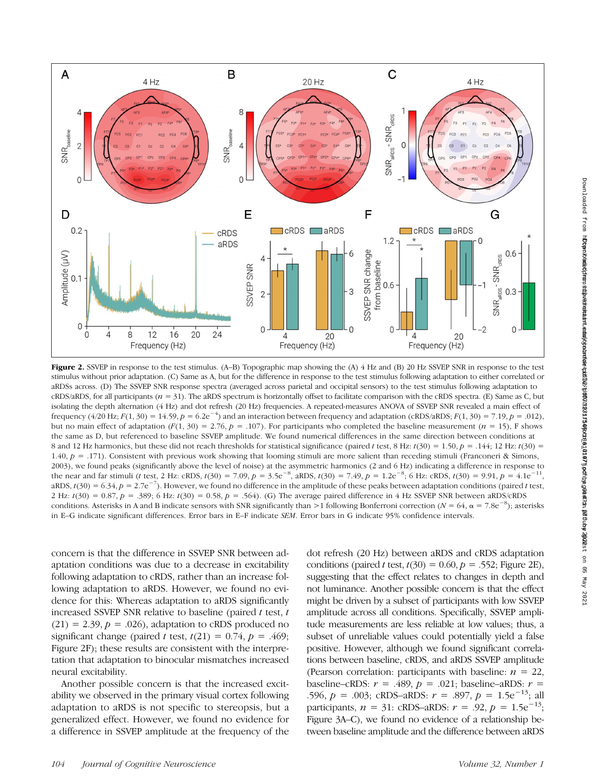

Figure 2. SSVEP in response to the test stimulus. (A–B) Topographic map showing the (A) 4 Hz and (B) 20 Hz SSVEP SNR in response to the test stimulus without prior adaptation. (C) Same as A, but for the difference in response to the test stimulus following adaptation to either correlated or aRDSs across. (D) The SSVEP SNR response spectra (averaged across parietal and occipital sensors) to the test stimulus following adaptation to  $cRDS/aRDS$ , for all participants ( $n = 31$ ). The aRDS spectrum is horizontally offset to facilitate comparison with the cRDS spectra. (E) Same as C, but isolating the depth alternation (4 Hz) and dot refresh (20 Hz) frequencies. A repeated-measures ANOVA of SSVEP SNR revealed a main effect of frequency  $(4/20 \text{ Hz}, F(1, 30) = 14.59, p = 6.2e^{-4}$ ) and an interaction between frequency and adaptation (cRDS/aRDS;  $F(1, 30) = 7.19, p = .012$ ), but no main effect of adaptation ( $F(1, 30) = 2.76$ ,  $p = .107$ ). For participants who completed the baseline measurement ( $n = 15$ ), F shows the same as D, but referenced to baseline SSVEP amplitude. We found numerical differences in the same direction between conditions at 8 and 12 Hz harmonics, but these did not reach thresholds for statistical significance (paired t test, 8 Hz: t(30) = 1.50, p = .144; 12 Hz: t(30) = 1.40,  $p = .171$ ). Consistent with previous work showing that looming stimuli are more salient than receding stimuli (Franconeri & Simons, 2003), we found peaks (significantly above the level of noise) at the asymmetric harmonics (2 and 6 Hz) indicating a difference in response to the near and far stimuli (t test, 2 Hz: cRDS,  $t(30) = 7.09$ ,  $p = 3.5e^{-8}$ , aRDS,  $t(30) = 7.49$ ,  $p = 1.2e^{-8}$ , 6 Hz: cRDS,  $t(30) = 9.91$ ,  $p = 4.1e^{-11}$ , aRDS,  $t(30) = 6.34$ ,  $p = 2.7e^{-7}$ ). However, we found no difference in the amplitude of these peaks between adaptation conditions (paired t test, 2 Hz:  $t(30) = 0.87$ ,  $p = .389$ ; 6 Hz:  $t(30) = 0.58$ ,  $p = .564$ ). (G) The average paired difference in 4 Hz SSVEP SNR between aRDS/cRDS conditions. Asterisks in A and B indicate sensors with SNR significantly than >1 following Bonferroni correction ( $N = 64$ ,  $\alpha = 7.8e^{-8}$ ); asterisks in E–G indicate significant differences. Error bars in E–F indicate SEM. Error bars in G indicate 95% confidence intervals.

concern is that the difference in SSVEP SNR between adaptation conditions was due to a decrease in excitability following adaptation to cRDS, rather than an increase following adaptation to aRDS. However, we found no evidence for this: Whereas adaptation to aRDS significantly increased SSVEP SNR relative to baseline (paired  $t$  test,  $t$  $(21) = 2.39, p = .026$ , adaptation to cRDS produced no significant change (paired t test,  $t(21) = 0.74$ ,  $p = .469$ ; Figure 2F); these results are consistent with the interpretation that adaptation to binocular mismatches increased neural excitability.

Another possible concern is that the increased excitability we observed in the primary visual cortex following adaptation to aRDS is not specific to stereopsis, but a generalized effect. However, we found no evidence for a difference in SSVEP amplitude at the frequency of the

dot refresh (20 Hz) between aRDS and cRDS adaptation conditions (paired t test,  $t(30) = 0.60$ ,  $p = .552$ ; Figure 2E), suggesting that the effect relates to changes in depth and not luminance. Another possible concern is that the effect might be driven by a subset of participants with low SSVEP amplitude across all conditions. Specifically, SSVEP amplitude measurements are less reliable at low values; thus, a subset of unreliable values could potentially yield a false positive. However, although we found significant correlations between baseline, cRDS, and aRDS SSVEP amplitude (Pearson correlation: participants with baseline:  $n = 22$ , baseline–cRDS:  $r = .489$ ,  $p = .021$ ; baseline–aRDS:  $r =$ .596, p = .003; cRDS–aRDS:  $r = .897$ , p = 1.5e<sup>-13</sup>; all participants,  $n = 31$ : cRDS–aRDS:  $r = .92$ ,  $p = 1.5e^{-13}$ ; Figure 3A–C), we found no evidence of a relationship between baseline amplitude and the difference between aRDS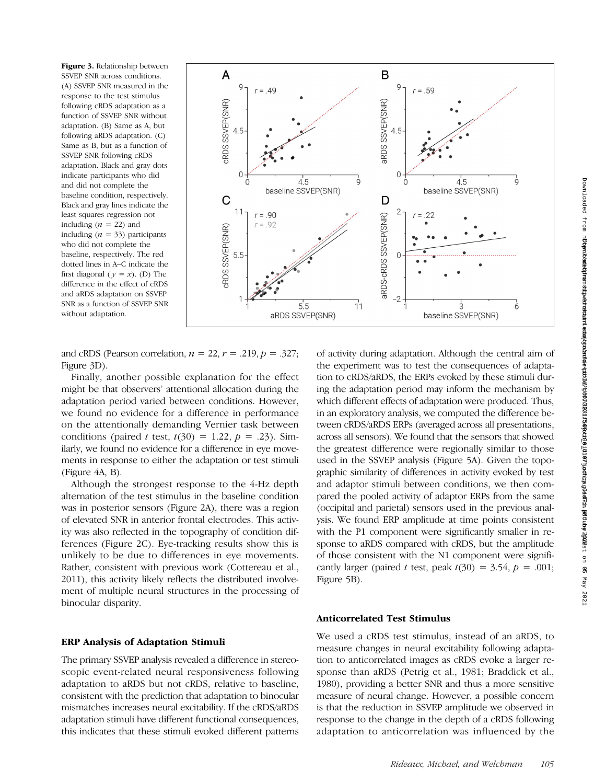Figure 3. Relationship between SSVEP SNR across conditions. (A) SSVEP SNR measured in the response to the test stimulus following cRDS adaptation as a function of SSVEP SNR without adaptation. (B) Same as A, but following aRDS adaptation. (C) Same as B, but as a function of SSVEP SNR following cRDS adaptation. Black and gray dots indicate participants who did and did not complete the baseline condition, respectively. Black and gray lines indicate the least squares regression not including  $(n = 22)$  and including  $(n = 33)$  participants who did not complete the baseline, respectively. The red dotted lines in A–C indicate the first diagonal ( $y = x$ ). (D) The difference in the effect of cRDS and aRDS adaptation on SSVEP SNR as a function of SSVEP SNR without adaptation.



and cRDS (Pearson correlation,  $n = 22$ ,  $r = .219$ ,  $p = .327$ ; Figure 3D).

Finally, another possible explanation for the effect might be that observers' attentional allocation during the adaptation period varied between conditions. However, we found no evidence for a difference in performance on the attentionally demanding Vernier task between conditions (paired t test,  $t(30) = 1.22$ ,  $p = .23$ ). Similarly, we found no evidence for a difference in eye movements in response to either the adaptation or test stimuli (Figure 4A, B).

Although the strongest response to the 4-Hz depth alternation of the test stimulus in the baseline condition was in posterior sensors (Figure 2A), there was a region of elevated SNR in anterior frontal electrodes. This activity was also reflected in the topography of condition differences (Figure 2C). Eye-tracking results show this is unlikely to be due to differences in eye movements. Rather, consistent with previous work (Cottereau et al., 2011), this activity likely reflects the distributed involvement of multiple neural structures in the processing of binocular disparity.

### ERP Analysis of Adaptation Stimuli

The primary SSVEP analysis revealed a difference in stereoscopic event-related neural responsiveness following adaptation to aRDS but not cRDS, relative to baseline, consistent with the prediction that adaptation to binocular mismatches increases neural excitability. If the cRDS/aRDS adaptation stimuli have different functional consequences, this indicates that these stimuli evoked different patterns

of activity during adaptation. Although the central aim of the experiment was to test the consequences of adaptation to cRDS/aRDS, the ERPs evoked by these stimuli during the adaptation period may inform the mechanism by which different effects of adaptation were produced. Thus, in an exploratory analysis, we computed the difference between cRDS/aRDS ERPs (averaged across all presentations, across all sensors). We found that the sensors that showed the greatest difference were regionally similar to those used in the SSVEP analysis (Figure 5A). Given the topographic similarity of differences in activity evoked by test and adaptor stimuli between conditions, we then compared the pooled activity of adaptor ERPs from the same (occipital and parietal) sensors used in the previous analysis. We found ERP amplitude at time points consistent with the P1 component were significantly smaller in response to aRDS compared with cRDS, but the amplitude of those consistent with the N1 component were significantly larger (paired t test, peak  $t(30) = 3.54$ ,  $p = .001$ ; Figure 5B).

### Anticorrelated Test Stimulus

We used a cRDS test stimulus, instead of an aRDS, to measure changes in neural excitability following adaptation to anticorrelated images as cRDS evoke a larger response than aRDS (Petrig et al., 1981; Braddick et al., 1980), providing a better SNR and thus a more sensitive measure of neural change. However, a possible concern is that the reduction in SSVEP amplitude we observed in response to the change in the depth of a cRDS following adaptation to anticorrelation was influenced by the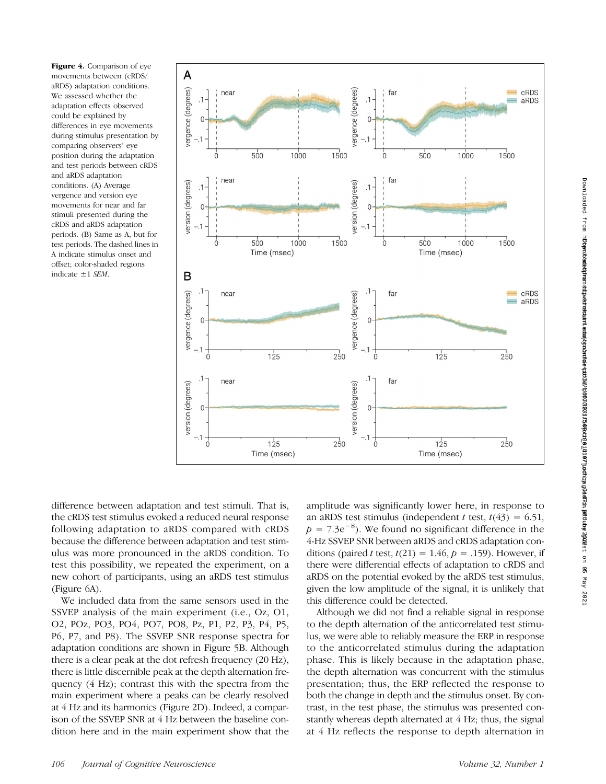Figure 4. Comparison of eye movements between (cRDS/ aRDS) adaptation conditions. We assessed whether the adaptation effects observed could be explained by differences in eye movements during stimulus presentation by comparing observers' eye position during the adaptation and test periods between cRDS and aRDS adaptation conditions. (A) Average vergence and version eye movements for near and far stimuli presented during the cRDS and aRDS adaptation periods. (B) Same as A, but for test periods. The dashed lines in A indicate stimulus onset and offset; color-shaded regions indicate ±1 SEM.



difference between adaptation and test stimuli. That is, the cRDS test stimulus evoked a reduced neural response following adaptation to aRDS compared with cRDS because the difference between adaptation and test stimulus was more pronounced in the aRDS condition. To test this possibility, we repeated the experiment, on a new cohort of participants, using an aRDS test stimulus (Figure 6A).

We included data from the same sensors used in the SSVEP analysis of the main experiment (i.e., Oz, O1, O2, POz, PO3, PO4, PO7, PO8, Pz, P1, P2, P3, P4, P5, P6, P7, and P8). The SSVEP SNR response spectra for adaptation conditions are shown in Figure 5B. Although there is a clear peak at the dot refresh frequency (20 Hz), there is little discernible peak at the depth alternation frequency (4 Hz); contrast this with the spectra from the main experiment where a peaks can be clearly resolved at 4 Hz and its harmonics (Figure 2D). Indeed, a comparison of the SSVEP SNR at 4 Hz between the baseline condition here and in the main experiment show that the amplitude was significantly lower here, in response to an aRDS test stimulus (independent t test,  $t(43) = 6.51$ ,  $p = 7.3e^{-8}$ ). We found no significant difference in the 4-Hz SSVEP SNR between aRDS and cRDS adaptation conditions (paired t test,  $t(21) = 1.46$ ,  $p = .159$ ). However, if there were differential effects of adaptation to cRDS and aRDS on the potential evoked by the aRDS test stimulus, given the low amplitude of the signal, it is unlikely that this difference could be detected.

Although we did not find a reliable signal in response to the depth alternation of the anticorrelated test stimulus, we were able to reliably measure the ERP in response to the anticorrelated stimulus during the adaptation phase. This is likely because in the adaptation phase, the depth alternation was concurrent with the stimulus presentation; thus, the ERP reflected the response to both the change in depth and the stimulus onset. By contrast, in the test phase, the stimulus was presented constantly whereas depth alternated at 4 Hz; thus, the signal at 4 Hz reflects the response to depth alternation in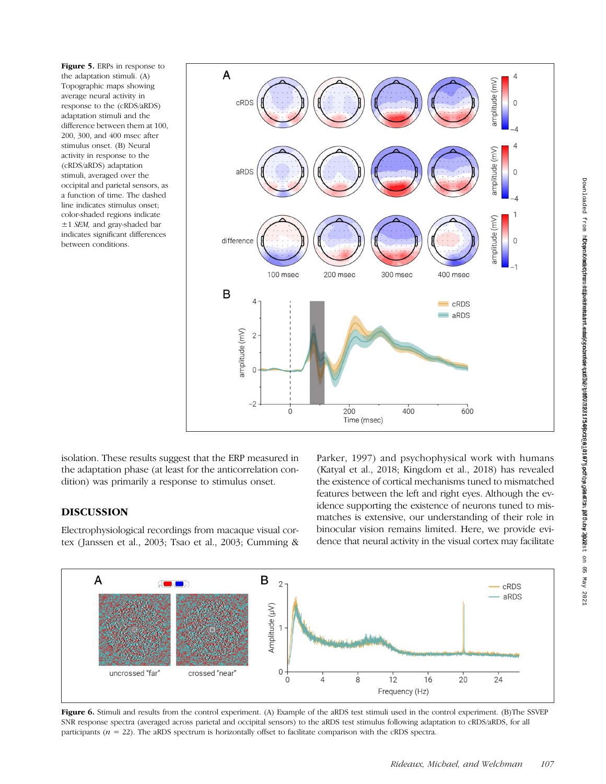Figure 5. ERPs in response to the adaptation stimuli. (A) Topographic maps showing average neural activity in response to the (cRDS/aRDS) adaptation stimuli and the difference between them at 100, 200, 300, and 400 msec after stimulus onset. (B) Neural activity in response to the (cRDS/aRDS) adaptation stimuli, averaged over the occipital and parietal sensors, as a function of time. The dashed line indicates stimulus onset; color-shaded regions indicate ±1 SEM, and gray-shaded bar indicates significant differences between conditions.



isolation. These results suggest that the ERP measured in the adaptation phase (at least for the anticorrelation condition) was primarily a response to stimulus onset.

# DISCUSSION

Electrophysiological recordings from macaque visual cortex (Janssen et al., 2003; Tsao et al., 2003; Cumming &

Parker, 1997) and psychophysical work with humans (Katyal et al., 2018; Kingdom et al., 2018) has revealed the existence of cortical mechanisms tuned to mismatched features between the left and right eyes. Although the evidence supporting the existence of neurons tuned to mismatches is extensive, our understanding of their role in binocular vision remains limited. Here, we provide evidence that neural activity in the visual cortex may facilitate



Figure 6. Stimuli and results from the control experiment. (A) Example of the aRDS test stimuli used in the control experiment. (B)The SSVEP SNR response spectra (averaged across parietal and occipital sensors) to the aRDS test stimulus following adaptation to cRDS/aRDS, for all participants ( $n = 22$ ). The aRDS spectrum is horizontally offset to facilitate comparison with the cRDS spectra.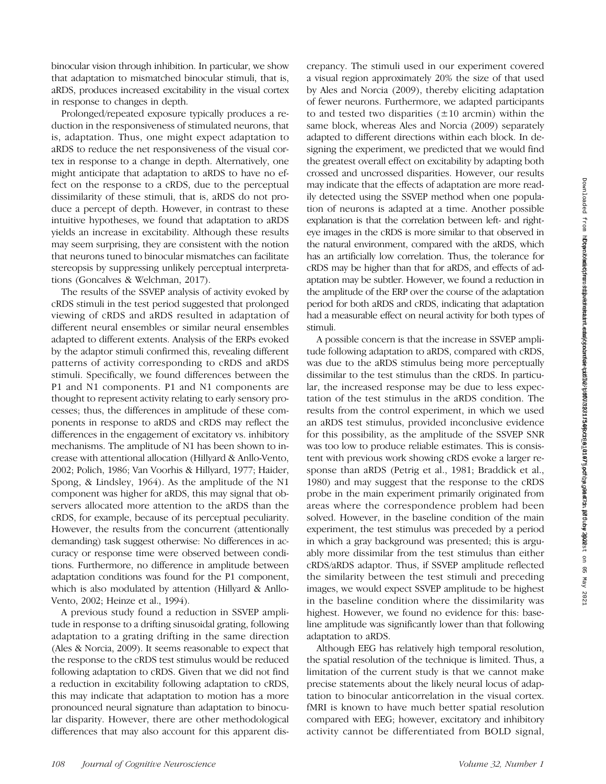binocular vision through inhibition. In particular, we show that adaptation to mismatched binocular stimuli, that is, aRDS, produces increased excitability in the visual cortex in response to changes in depth.

Prolonged/repeated exposure typically produces a reduction in the responsiveness of stimulated neurons, that is, adaptation. Thus, one might expect adaptation to aRDS to reduce the net responsiveness of the visual cortex in response to a change in depth. Alternatively, one might anticipate that adaptation to aRDS to have no effect on the response to a cRDS, due to the perceptual dissimilarity of these stimuli, that is, aRDS do not produce a percept of depth. However, in contrast to these intuitive hypotheses, we found that adaptation to aRDS yields an increase in excitability. Although these results may seem surprising, they are consistent with the notion that neurons tuned to binocular mismatches can facilitate stereopsis by suppressing unlikely perceptual interpretations (Goncalves & Welchman, 2017).

The results of the SSVEP analysis of activity evoked by cRDS stimuli in the test period suggested that prolonged viewing of cRDS and aRDS resulted in adaptation of different neural ensembles or similar neural ensembles adapted to different extents. Analysis of the ERPs evoked by the adaptor stimuli confirmed this, revealing different patterns of activity corresponding to cRDS and aRDS stimuli. Specifically, we found differences between the P1 and N1 components. P1 and N1 components are thought to represent activity relating to early sensory processes; thus, the differences in amplitude of these components in response to aRDS and cRDS may reflect the differences in the engagement of excitatory vs. inhibitory mechanisms. The amplitude of N1 has been shown to increase with attentional allocation (Hillyard & Anllo-Vento, 2002; Polich, 1986; Van Voorhis & Hillyard, 1977; Haider, Spong, & Lindsley, 1964). As the amplitude of the N1 component was higher for aRDS, this may signal that observers allocated more attention to the aRDS than the cRDS, for example, because of its perceptual peculiarity. However, the results from the concurrent (attentionally demanding) task suggest otherwise: No differences in accuracy or response time were observed between conditions. Furthermore, no difference in amplitude between adaptation conditions was found for the P1 component, which is also modulated by attention (Hillyard & Anllo-Vento, 2002; Heinze et al., 1994).

A previous study found a reduction in SSVEP amplitude in response to a drifting sinusoidal grating, following adaptation to a grating drifting in the same direction (Ales & Norcia, 2009). It seems reasonable to expect that the response to the cRDS test stimulus would be reduced following adaptation to cRDS. Given that we did not find a reduction in excitability following adaptation to cRDS, this may indicate that adaptation to motion has a more pronounced neural signature than adaptation to binocular disparity. However, there are other methodological differences that may also account for this apparent discrepancy. The stimuli used in our experiment covered a visual region approximately 20% the size of that used by Ales and Norcia (2009), thereby eliciting adaptation of fewer neurons. Furthermore, we adapted participants to and tested two disparities  $(\pm 10 \text{ arcmin})$  within the same block, whereas Ales and Norcia (2009) separately adapted to different directions within each block. In designing the experiment, we predicted that we would find the greatest overall effect on excitability by adapting both crossed and uncrossed disparities. However, our results may indicate that the effects of adaptation are more readily detected using the SSVEP method when one population of neurons is adapted at a time. Another possible explanation is that the correlation between left- and righteye images in the cRDS is more similar to that observed in the natural environment, compared with the aRDS, which has an artificially low correlation. Thus, the tolerance for cRDS may be higher than that for aRDS, and effects of adaptation may be subtler. However, we found a reduction in the amplitude of the ERP over the course of the adaptation period for both aRDS and cRDS, indicating that adaptation had a measurable effect on neural activity for both types of stimuli.

A possible concern is that the increase in SSVEP amplitude following adaptation to aRDS, compared with cRDS, was due to the aRDS stimulus being more perceptually dissimilar to the test stimulus than the cRDS. In particular, the increased response may be due to less expectation of the test stimulus in the aRDS condition. The results from the control experiment, in which we used an aRDS test stimulus, provided inconclusive evidence for this possibility, as the amplitude of the SSVEP SNR was too low to produce reliable estimates. This is consistent with previous work showing cRDS evoke a larger response than aRDS (Petrig et al., 1981; Braddick et al., 1980) and may suggest that the response to the cRDS probe in the main experiment primarily originated from areas where the correspondence problem had been solved. However, in the baseline condition of the main experiment, the test stimulus was preceded by a period in which a gray background was presented; this is arguably more dissimilar from the test stimulus than either cRDS/aRDS adaptor. Thus, if SSVEP amplitude reflected the similarity between the test stimuli and preceding images, we would expect SSVEP amplitude to be highest in the baseline condition where the dissimilarity was highest. However, we found no evidence for this: baseline amplitude was significantly lower than that following adaptation to aRDS.

Although EEG has relatively high temporal resolution, the spatial resolution of the technique is limited. Thus, a limitation of the current study is that we cannot make precise statements about the likely neural locus of adaptation to binocular anticorrelation in the visual cortex. fMRI is known to have much better spatial resolution compared with EEG; however, excitatory and inhibitory activity cannot be differentiated from BOLD signal,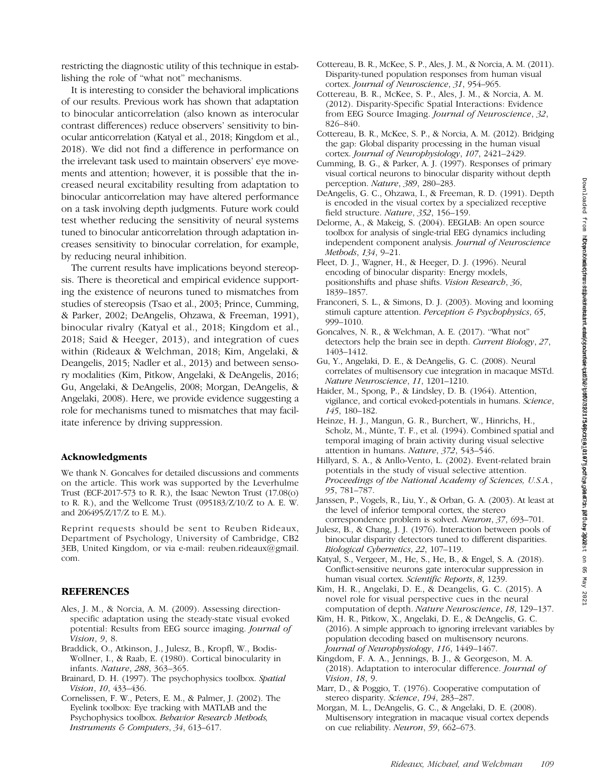restricting the diagnostic utility of this technique in establishing the role of "what not" mechanisms.

It is interesting to consider the behavioral implications of our results. Previous work has shown that adaptation to binocular anticorrelation (also known as interocular contrast differences) reduce observers' sensitivity to binocular anticorrelation (Katyal et al., 2018; Kingdom et al., 2018). We did not find a difference in performance on the irrelevant task used to maintain observers' eye movements and attention; however, it is possible that the increased neural excitability resulting from adaptation to binocular anticorrelation may have altered performance on a task involving depth judgments. Future work could test whether reducing the sensitivity of neural systems tuned to binocular anticorrelation through adaptation increases sensitivity to binocular correlation, for example, by reducing neural inhibition.

The current results have implications beyond stereopsis. There is theoretical and empirical evidence supporting the existence of neurons tuned to mismatches from studies of stereopsis (Tsao et al., 2003; Prince, Cumming, & Parker, 2002; DeAngelis, Ohzawa, & Freeman, 1991), binocular rivalry (Katyal et al., 2018; Kingdom et al., 2018; Said & Heeger, 2013), and integration of cues within (Rideaux & Welchman, 2018; Kim, Angelaki, & Deangelis, 2015; Nadler et al., 2013) and between sensory modalities (Kim, Pitkow, Angelaki, & DeAngelis, 2016; Gu, Angelaki, & DeAngelis, 2008; Morgan, DeAngelis, & Angelaki, 2008). Here, we provide evidence suggesting a role for mechanisms tuned to mismatches that may facilitate inference by driving suppression.

### Acknowledgments

We thank N. Goncalves for detailed discussions and comments on the article. This work was supported by the Leverhulme Trust (ECF-2017-573 to R. R.), the Isaac Newton Trust (17.08(o) to R. R.), and the Wellcome Trust  $(095183/Z/10/Z$  to A. E. W. and 206495/Z/17/Z to E. M.).

Reprint requests should be sent to Reuben Rideaux, Department of Psychology, University of Cambridge, CB2 3EB, United Kingdom, or via e-mail: reuben.rideaux@gmail. com.

### **REFERENCES**

- Ales, J. M., & Norcia, A. M. (2009). Assessing directionspecific adaptation using the steady-state visual evoked potential: Results from EEG source imaging. Journal of Vision, 9, 8.
- Braddick, O., Atkinson, J., Julesz, B., Kropfl, W., Bodis-Wollner, I., & Raab, E. (1980). Cortical binocularity in infants. Nature, 288, 363–365.
- Brainard, D. H. (1997). The psychophysics toolbox. Spatial Vision, 10, 433–436.
- Cornelissen, F. W., Peters, E. M., & Palmer, J. (2002). The Eyelink toolbox: Eye tracking with MATLAB and the Psychophysics toolbox. Behavior Research Methods, Instruments & Computers, 34, 613–617.
- Cottereau, B. R., McKee, S. P., Ales, J. M., & Norcia, A. M. (2011). Disparity-tuned population responses from human visual cortex. Journal of Neuroscience, 31, 954–965.
- Cottereau, B. R., McKee, S. P., Ales, J. M., & Norcia, A. M. (2012). Disparity-Specific Spatial Interactions: Evidence from EEG Source Imaging. Journal of Neuroscience, 32, 826–840.
- Cottereau, B. R., McKee, S. P., & Norcia, A. M. (2012). Bridging the gap: Global disparity processing in the human visual cortex. Journal of Neurophysiology, 107, 2421–2429.
- Cumming, B. G., & Parker, A. J. (1997). Responses of primary visual cortical neurons to binocular disparity without depth perception. Nature, 389, 280–283.
- DeAngelis, G. C., Ohzawa, I., & Freeman, R. D. (1991). Depth is encoded in the visual cortex by a specialized receptive field structure. Nature, 352, 156–159.
- Delorme, A., & Makeig, S. (2004). EEGLAB: An open source toolbox for analysis of single-trial EEG dynamics including independent component analysis. Journal of Neuroscience Methods, 134, 9–21.
- Fleet, D. J., Wagner, H., & Heeger, D. J. (1996). Neural encoding of binocular disparity: Energy models, positionshifts and phase shifts. Vision Research, 36, 1839–1857.
- Franconeri, S. L., & Simons, D. J. (2003). Moving and looming stimuli capture attention. Perception & Psychophysics, 65, 999–1010.
- Goncalves, N. R., & Welchman, A. E. (2017). "What not" detectors help the brain see in depth. Current Biology, 27, 1403–1412.
- Gu, Y., Angelaki, D. E., & DeAngelis, G. C. (2008). Neural correlates of multisensory cue integration in macaque MSTd. Nature Neuroscience, 11, 1201–1210.
- Haider, M., Spong, P., & Lindsley, D. B. (1964). Attention, vigilance, and cortical evoked-potentials in humans. Science, 145, 180–182.
- Heinze, H. J., Mangun, G. R., Burchert, W., Hinrichs, H., Scholz, M., Münte, T. F., et al. (1994). Combined spatial and temporal imaging of brain activity during visual selective attention in humans. Nature, 372, 543–546.
- Hillyard, S. A., & Anllo-Vento, L. (2002). Event-related brain potentials in the study of visual selective attention. Proceedings of the National Academy of Sciences, U.S.A., 95, 781–787.
- Janssen, P., Vogels, R., Liu, Y., & Orban, G. A. (2003). At least at the level of inferior temporal cortex, the stereo correspondence problem is solved. Neuron, 37, 693–701.
- Julesz, B., & Chang, J. J. (1976). Interaction between pools of binocular disparity detectors tuned to different disparities. Biological Cybernetics, 22, 107–119.
- Katyal, S., Vergeer, M., He, S., He, B., & Engel, S. A. (2018). Conflict-sensitive neurons gate interocular suppression in human visual cortex. Scientific Reports, 8, 1239.
- Kim, H. R., Angelaki, D. E., & Deangelis, G. C. (2015). A novel role for visual perspective cues in the neural computation of depth. Nature Neuroscience, 18, 129–137.
- Kim, H. R., Pitkow, X., Angelaki, D. E., & DeAngelis, G. C. (2016). A simple approach to ignoring irrelevant variables by population decoding based on multisensory neurons. Journal of Neurophysiology, 116, 1449-1467.
- Kingdom, F. A. A., Jennings, B. J., & Georgeson, M. A. (2018). Adaptation to interocular difference. Journal of Vision, 18, 9.
- Marr, D., & Poggio, T. (1976). Cooperative computation of stereo disparity. Science, 194, 283–287.
- Morgan, M. L., DeAngelis, G. C., & Angelaki, D. E. (2008). Multisensory integration in macaque visual cortex depends on cue reliability. Neuron, 59, 662–673.